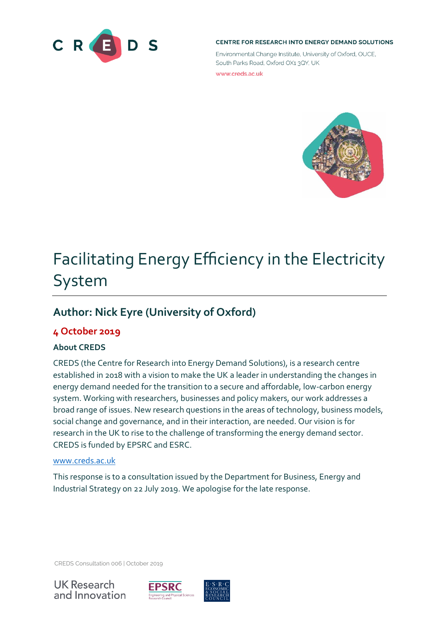

#### CENTRE FOR RESEARCH INTO ENERGY DEMAND SOLUTIONS

Environmental Change Institute, University of Oxford, OUCE. South Parks Road, Oxford OX1 3QY, UK

www.creds.ac.uk



# Facilitating Energy Efficiency in the Electricity System

# **Author: Nick Eyre (University of Oxford)**

## **4 October 2019**

#### **About CREDS**

CREDS (the Centre for Research into Energy Demand Solutions), is a research centre established in 2018 with a vision to make the UK a leader in understanding the changes in energy demand needed for the transition to a secure and affordable, low-carbon energy system. Working with researchers, businesses and policy makers, our work addresses a broad range of issues. New research questions in the areas of technology, business models, social change and governance, and in their interaction, are needed. Our vision is for research in the UK to rise to the challenge of transforming the energy demand sector. CREDS is funded by EPSRC and ESRC.

#### [www.creds.ac.uk](http://www.creds.ac.uk/)

This response is to a consultation issued by the Department for Business, Energy and Industrial Strategy on 22 July 2019. We apologise for the late response.

CREDS Consultation 006 | October 2019





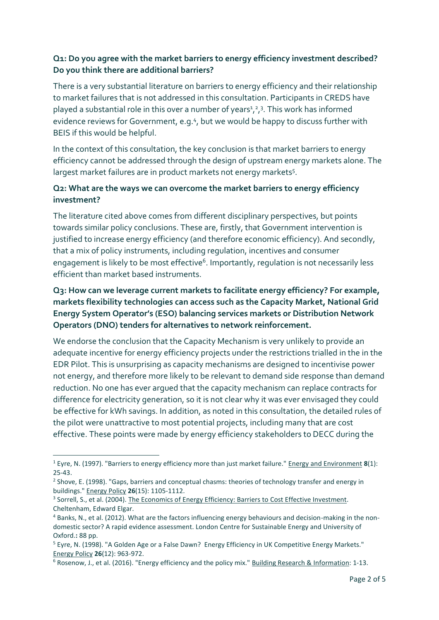#### **Q1: Do you agree with the market barriers to energy efficiency investment described? Do you think there are additional barriers?**

There is a very substantial literature on barriers to energy efficiency and their relationship to market failures that is not addressed in this consultation. Participants in CREDS have played a substantial role in this over a number of years<sup>1</sup>,<sup>2</sup>,<sup>3</sup>. This work has informed evidence reviews for Government, e.g.<sup>4</sup>, but we would be happy to discuss further with BEIS if this would be helpful.

In the context of this consultation, the key conclusion is that market barriers to energy efficiency cannot be addressed through the design of upstream energy markets alone. The largest market failures are in product markets not energy markets<sup>5</sup>.

#### **Q2: What are the ways we can overcome the market barriers to energy efficiency investment?**

The literature cited above comes from different disciplinary perspectives, but points towards similar policy conclusions. These are, firstly, that Government intervention is justified to increase energy efficiency (and therefore economic efficiency). And secondly, that a mix of policy instruments, including regulation, incentives and consumer engagement is likely to be most effective<sup>6</sup>. Importantly, regulation is not necessarily less efficient than market based instruments.

### **Q3: How can we leverage current markets to facilitate energy efficiency? For example, markets flexibility technologies can access such as the Capacity Market, National Grid Energy System Operator's (ESO) balancing services markets or Distribution Network Operators (DNO) tenders for alternatives to network reinforcement.**

We endorse the conclusion that the Capacity Mechanism is very unlikely to provide an adequate incentive for energy efficiency projects under the restrictions trialled in the in the EDR Pilot. This is unsurprising as capacity mechanisms are designed to incentivise power not energy, and therefore more likely to be relevant to demand side response than demand reduction. No one has ever argued that the capacity mechanism can replace contracts for difference for electricity generation, so it is not clear why it was ever envisaged they could be effective for kWh savings. In addition, as noted in this consultation, the detailed rules of the pilot were unattractive to most potential projects, including many that are cost effective. These points were made by energy efficiency stakeholders to DECC during the

**.** 

<sup>1</sup> Eyre, N. (1997). "Barriers to energy efficiency more than just market failure." Energy and Environment **8**(1): 25-43.

<sup>&</sup>lt;sup>2</sup> Shove, E. (1998). "Gaps, barriers and conceptual chasms: theories of technology transfer and energy in buildings." Energy Policy **26**(15): 1105-1112.

<sup>&</sup>lt;sup>3</sup> Sorrell, S., et al. (2004). The Economics of Energy Efficiency: Barriers to Cost Effective Investment. Cheltenham, Edward Elgar.

<sup>4</sup> Banks, N., et al. (2012). What are the factors influencing energy behaviours and decision-making in the nondomestic sector? A rapid evidence assessment. London Centre for Sustainable Energy and University of Oxford.**:** 88 pp.

<sup>&</sup>lt;sup>5</sup> Eyre, N. (1998). "A Golden Age or a False Dawn? Energy Efficiency in UK Competitive Energy Markets." Energy Policy **26**(12): 963-972.

<sup>6</sup> Rosenow, J., et al. (2016). "Energy efficiency and the policy mix." Building Research & Information: 1-13.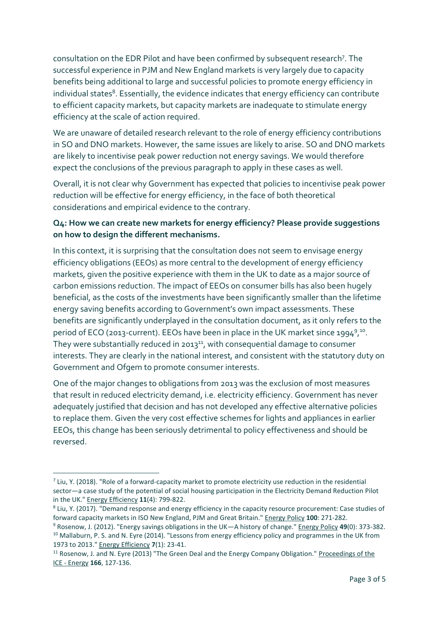consultation on the EDR Pilot and have been confirmed by subsequent research<sup>7</sup>. The successful experience in PJM and New England markets is very largely due to capacity benefits being additional to large and successful policies to promote energy efficiency in individual states<sup>8</sup>. Essentially, the evidence indicates that energy efficiency can contribute to efficient capacity markets, but capacity markets are inadequate to stimulate energy efficiency at the scale of action required.

We are unaware of detailed research relevant to the role of energy efficiency contributions in SO and DNO markets. However, the same issues are likely to arise. SO and DNO markets are likely to incentivise peak power reduction not energy savings. We would therefore expect the conclusions of the previous paragraph to apply in these cases as well.

Overall, it is not clear why Government has expected that policies to incentivise peak power reduction will be effective for energy efficiency, in the face of both theoretical considerations and empirical evidence to the contrary.

#### **Q4: How we can create new markets for energy efficiency? Please provide suggestions on how to design the different mechanisms.**

In this context, it is surprising that the consultation does not seem to envisage energy efficiency obligations (EEOs) as more central to the development of energy efficiency markets, given the positive experience with them in the UK to date as a major source of carbon emissions reduction. The impact of EEOs on consumer bills has also been hugely beneficial, as the costs of the investments have been significantly smaller than the lifetime energy saving benefits according to Government's own impact assessments. These benefits are significantly underplayed in the consultation document, as it only refers to the period of ECO (2013-current). EEOs have been in place in the UK market since 1994<sup>9</sup>,<sup>10</sup>. They were substantially reduced in 2013<sup>11</sup>, with consequential damage to consumer interests. They are clearly in the national interest, and consistent with the statutory duty on Government and Ofgem to promote consumer interests.

One of the major changes to obligations from 2013 was the exclusion of most measures that result in reduced electricity demand, i.e. electricity efficiency. Government has never adequately justified that decision and has not developed any effective alternative policies to replace them. Given the very cost effective schemes for lights and appliances in earlier EEOs, this change has been seriously detrimental to policy effectiveness and should be reversed.

**.** 

 $<sup>7</sup>$  Liu, Y. (2018). "Role of a forward-capacity market to promote electricity use reduction in the residential</sup> sector—a case study of the potential of social housing participation in the Electricity Demand Reduction Pilot in the UK." Energy Efficiency **11**(4): 799-822.

<sup>&</sup>lt;sup>8</sup> Liu, Y. (2017). "Demand response and energy efficiency in the capacity resource procurement: Case studies of forward capacity markets in ISO New England, PJM and Great Britain." Energy Policy **100**: 271-282.

<sup>9</sup> Rosenow, J. (2012). "Energy savings obligations in the UK—A history of change." Energy Policy **49**(0): 373-382. <sup>10</sup> Mallaburn, P. S. and N. Eyre (2014). "Lessons from energy efficiency policy and programmes in the UK from 1973 to 2013." Energy Efficiency **7**(1): 23-41.

<sup>&</sup>lt;sup>11</sup> Rosenow, J. and N. Eyre (2013) "The Green Deal and the Energy Company Obligation." Proceedings of the ICE - Energy **166**, 127-136.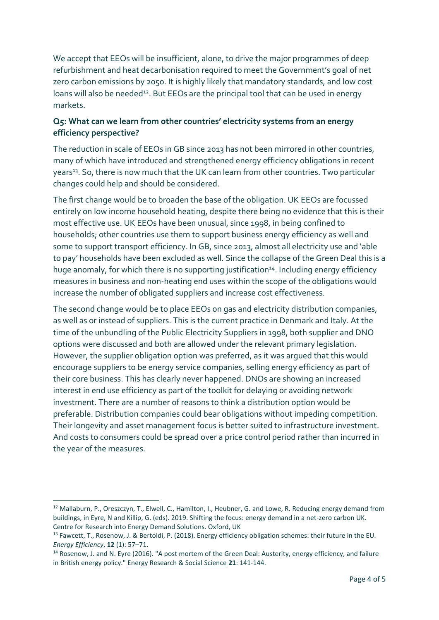We accept that EEOs will be insufficient, alone, to drive the major programmes of deep refurbishment and heat decarbonisation required to meet the Government's goal of net zero carbon emissions by 2050. It is highly likely that mandatory standards, and low cost loans will also be needed<sup>12</sup>. But EEOs are the principal tool that can be used in energy markets.

#### **Q5: What can we learn from other countries' electricity systems from an energy efficiency perspective?**

The reduction in scale of EEOs in GB since 2013 has not been mirrored in other countries, many of which have introduced and strengthened energy efficiency obligations in recent years<sup>13</sup>. So, there is now much that the UK can learn from other countries. Two particular changes could help and should be considered.

The first change would be to broaden the base of the obligation. UK EEOs are focussed entirely on low income household heating, despite there being no evidence that this is their most effective use. UK EEOs have been unusual, since 1998, in being confined to households; other countries use them to support business energy efficiency as well and some to support transport efficiency. In GB, since 2013, almost all electricity use and 'able to pay' households have been excluded as well. Since the collapse of the Green Deal this is a huge anomaly, for which there is no supporting justification<sup>14</sup>. Including energy efficiency measures in business and non-heating end uses within the scope of the obligations would increase the number of obligated suppliers and increase cost effectiveness.

The second change would be to place EEOs on gas and electricity distribution companies, as well as or instead of suppliers. This is the current practice in Denmark and Italy. At the time of the unbundling of the Public Electricity Suppliers in 1998, both supplier and DNO options were discussed and both are allowed under the relevant primary legislation. However, the supplier obligation option was preferred, as it was argued that this would encourage suppliers to be energy service companies, selling energy efficiency as part of their core business. This has clearly never happened. DNOs are showing an increased interest in end use efficiency as part of the toolkit for delaying or avoiding network investment. There are a number of reasons to think a distribution option would be preferable. Distribution companies could bear obligations without impeding competition. Their longevity and asset management focus is better suited to infrastructure investment. And costs to consumers could be spread over a price control period rather than incurred in the year of the measures.

**.** 

<sup>&</sup>lt;sup>12</sup> Mallaburn, P., Oreszczyn, T., Elwell, C., Hamilton, I., Heubner, G. and Lowe, R. Reducing energy demand from buildings, in Eyre, N and Killip, G. (eds). 2019. Shifting the focus: energy demand in a net-zero carbon UK. Centre for Research into Energy Demand Solutions. Oxford, UK

<sup>&</sup>lt;sup>13</sup> Fawcett, T., Rosenow, J. & Bertoldi, P. (2018). Energy efficiency obligation schemes: their future in the EU. *Energy Efficiency*, **12** (1): 57–71.

<sup>14</sup> Rosenow, J. and N. Eyre (2016). "A post mortem of the Green Deal: Austerity, energy efficiency, and failure in British energy policy." Energy Research & Social Science **21**: 141-144.